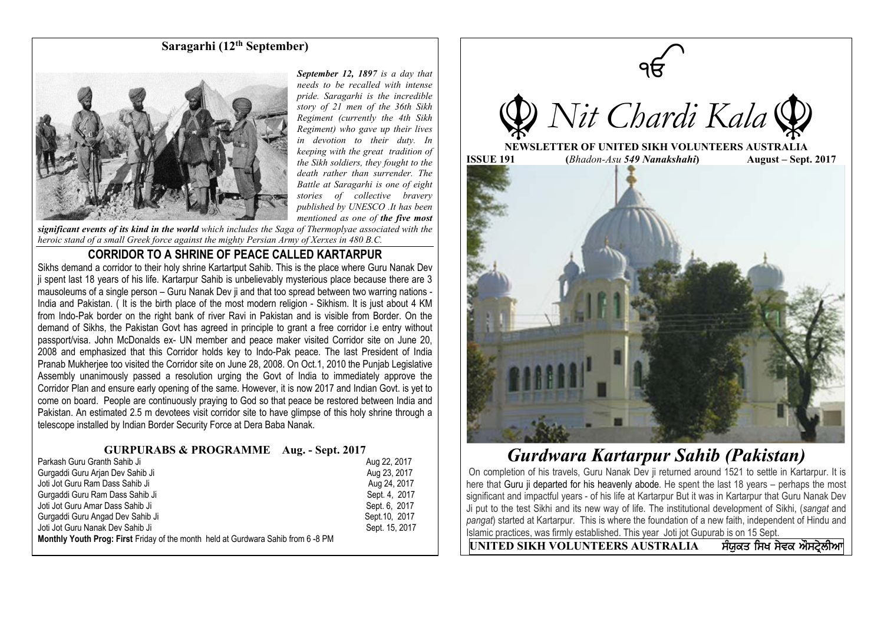## **Saragarhi (12th September)**



*September 12, 1897 is a day that needs to be recalled with intense pride. Saragarhi is the incredible story of 21 men of the 36th Sikh Regiment (currently the 4th Sikh Regiment) who gave up their lives in devotion to their duty. In keeping with the great tradition of the Sikh soldiers, they fought to the death rather than surrender. The Battle at Saragarhi is one of eight stories of collective bravery published by UNESCO .It has been mentioned as one of the five most* 

*significant events of its kind in the world which includes the Saga of Thermoplyae associated with the heroic stand of a small Greek force against the mighty Persian Army of Xerxes in 480 B.C.*

### **CORRIDOR TO A SHRINE OF PEACE CALLED KARTARPUR**

Sikhs demand a corridor to their holy shrine Kartartput Sahib. This is the place where Guru Nanak Dev ji spent last 18 years of his life. Kartarpur Sahib is unbelievably mysterious place because there are 3 mausoleums of a single person – Guru Nanak Dev ji and that too spread between two warring nations - India and Pakistan. ( It is the birth place of the most modern religion - Sikhism. It is just about 4 KM from Indo-Pak border on the right bank of river Ravi in Pakistan and is visible from Border. On the demand of Sikhs, the Pakistan Govt has agreed in principle to grant a free corridor i.e entry without passport/visa. John McDonalds ex- UN member and peace maker visited Corridor site on June 20, 2008 and emphasized that this Corridor holds key to Indo-Pak peace. The last President of India Pranab Mukherjee too visited the Corridor site on June 28, 2008. On Oct.1, 2010 the Punjab Legislative Assembly unanimously passed a resolution urging the Govt of India to immediately approve the Corridor Plan and ensure early opening of the same. However, it is now 2017 and Indian Govt. is yet to come on board. People are continuously praying to God so that peace be restored between India and Pakistan. An estimated 2.5 m devotees visit corridor site to have glimpse of this holy shrine through a telescope installed by Indian Border Security Force at Dera Baba Nanak.

#### **GURPURABS & PROGRAMME Aug. - Sept. 2017**

| Parkash Guru Granth Sahib Ji                                                             | Aug 22, 2017   |
|------------------------------------------------------------------------------------------|----------------|
| Gurgaddi Guru Arian Dev Sahib Ji                                                         | Aug 23, 2017   |
| Joti Jot Guru Ram Dass Sahib Ji                                                          | Aug 24, 2017   |
| Gurgaddi Guru Ram Dass Sahib Ji                                                          | Sept. 4, 2017  |
| Joti Jot Guru Amar Dass Sahib Ji                                                         | Sept. 6, 2017  |
| Gurgaddi Guru Angad Dev Sahib Ji                                                         | Sept. 10, 2017 |
| Joti Jot Guru Nanak Dev Sahib Ji                                                         | Sept. 15, 2017 |
| <b>Monthly Youth Prog: First Friday of the month held at Gurdwara Sahib from 6 -8 PM</b> |                |



# *Gurdwara Kartarpur Sahib (Pakistan)*

On completion of his travels, Guru Nanak Dev ji returned around 1521 to settle in Kartarpur. It is here that Guru ji departed for his heavenly abode. He spent the last 18 years – perhaps the most significant and impactful years - of his life at Kartarpur But it was in Kartarpur that Guru Nanak Dev Ji put to the test Sikhi and its new way of life. The institutional development of Sikhi, (*sangat* and *pangat*) started at Kartarpur. This is where the foundation of a new faith, independent of Hindu and Islamic practices, was firmly established. This year Joti jot Gupurab is on 15 Sept.

 $\overline{UNITED SIKH VOLUNTEERS AUSTRALIA$  ਸੰਯੁਕਤ ਸਿਖ ਸੇਵਕ ਔਸਟੇਲੀਆ